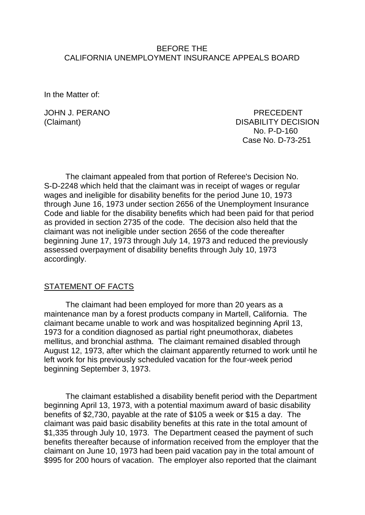#### BEFORE THE CALIFORNIA UNEMPLOYMENT INSURANCE APPEALS BOARD

In the Matter of:

JOHN J. PERANO PRECEDENT (Claimant) DISABILITY DECISION No. P-D-160 Case No. D-73-251

The claimant appealed from that portion of Referee's Decision No. S-D-2248 which held that the claimant was in receipt of wages or regular wages and ineligible for disability benefits for the period June 10, 1973 through June 16, 1973 under section 2656 of the Unemployment Insurance Code and liable for the disability benefits which had been paid for that period as provided in section 2735 of the code. The decision also held that the claimant was not ineligible under section 2656 of the code thereafter beginning June 17, 1973 through July 14, 1973 and reduced the previously assessed overpayment of disability benefits through July 10, 1973 accordingly.

#### STATEMENT OF FACTS

The claimant had been employed for more than 20 years as a maintenance man by a forest products company in Martell, California. The claimant became unable to work and was hospitalized beginning April 13, 1973 for a condition diagnosed as partial right pneumothorax, diabetes mellitus, and bronchial asthma. The claimant remained disabled through August 12, 1973, after which the claimant apparently returned to work until he left work for his previously scheduled vacation for the four-week period beginning September 3, 1973.

The claimant established a disability benefit period with the Department beginning April 13, 1973, with a potential maximum award of basic disability benefits of \$2,730, payable at the rate of \$105 a week or \$15 a day. The claimant was paid basic disability benefits at this rate in the total amount of \$1,335 through July 10, 1973. The Department ceased the payment of such benefits thereafter because of information received from the employer that the claimant on June 10, 1973 had been paid vacation pay in the total amount of \$995 for 200 hours of vacation. The employer also reported that the claimant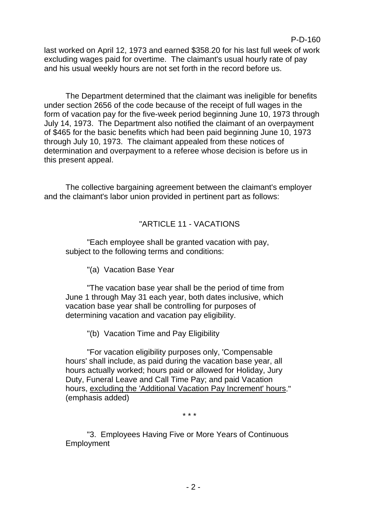last worked on April 12, 1973 and earned \$358.20 for his last full week of work excluding wages paid for overtime. The claimant's usual hourly rate of pay and his usual weekly hours are not set forth in the record before us.

The Department determined that the claimant was ineligible for benefits under section 2656 of the code because of the receipt of full wages in the form of vacation pay for the five-week period beginning June 10, 1973 through July 14, 1973. The Department also notified the claimant of an overpayment of \$465 for the basic benefits which had been paid beginning June 10, 1973 through July 10, 1973. The claimant appealed from these notices of determination and overpayment to a referee whose decision is before us in this present appeal.

The collective bargaining agreement between the claimant's employer and the claimant's labor union provided in pertinent part as follows:

# "ARTICLE 11 - VACATIONS

"Each employee shall be granted vacation with pay, subject to the following terms and conditions:

"(a) Vacation Base Year

"The vacation base year shall be the period of time from June 1 through May 31 each year, both dates inclusive, which vacation base year shall be controlling for purposes of determining vacation and vacation pay eligibility.

"(b) Vacation Time and Pay Eligibility

"For vacation eligibility purposes only, 'Compensable hours' shall include, as paid during the vacation base year, all hours actually worked; hours paid or allowed for Holiday, Jury Duty, Funeral Leave and Call Time Pay; and paid Vacation hours, excluding the 'Additional Vacation Pay Increment' hours." (emphasis added)

\* \* \*

"3. Employees Having Five or More Years of Continuous Employment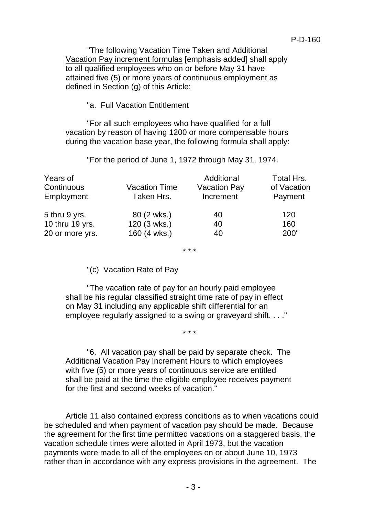"The following Vacation Time Taken and Additional Vacation Pay increment formulas [emphasis added] shall apply to all qualified employees who on or before May 31 have attained five (5) or more years of continuous employment as defined in Section (g) of this Article:

### "a. Full Vacation Entitlement

"For all such employees who have qualified for a full vacation by reason of having 1200 or more compensable hours during the vacation base year, the following formula shall apply:

"For the period of June 1, 1972 through May 31, 1974.

| Years of        |                      | Additional          | Total Hrs.  |
|-----------------|----------------------|---------------------|-------------|
| Continuous      | <b>Vacation Time</b> | <b>Vacation Pay</b> | of Vacation |
| Employment      | Taken Hrs.           | Increment           | Payment     |
| 5 thru 9 yrs.   | 80 (2 wks.)          | 40                  | 120         |
| 10 thru 19 yrs. | 120 (3 wks.)         | 40                  | 160         |
| 20 or more yrs. | 160 (4 wks.)         | 40                  | 200"        |

\* \* \*

### "(c) Vacation Rate of Pay

"The vacation rate of pay for an hourly paid employee shall be his regular classified straight time rate of pay in effect on May 31 including any applicable shift differential for an employee regularly assigned to a swing or graveyard shift. . . ."

\* \* \*

"6. All vacation pay shall be paid by separate check. The Additional Vacation Pay Increment Hours to which employees with five (5) or more years of continuous service are entitled shall be paid at the time the eligible employee receives payment for the first and second weeks of vacation."

Article 11 also contained express conditions as to when vacations could be scheduled and when payment of vacation pay should be made. Because the agreement for the first time permitted vacations on a staggered basis, the vacation schedule times were allotted in April 1973, but the vacation payments were made to all of the employees on or about June 10, 1973 rather than in accordance with any express provisions in the agreement. The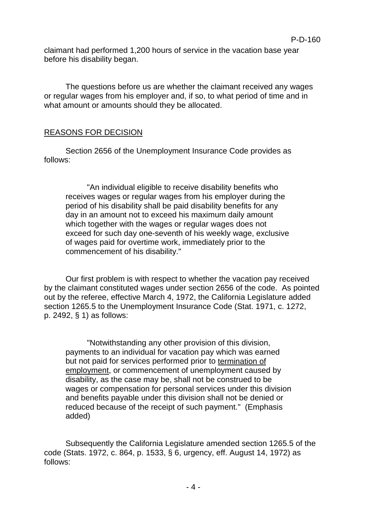claimant had performed 1,200 hours of service in the vacation base year before his disability began.

The questions before us are whether the claimant received any wages or regular wages from his employer and, if so, to what period of time and in what amount or amounts should they be allocated.

### REASONS FOR DECISION

Section 2656 of the Unemployment Insurance Code provides as follows:

"An individual eligible to receive disability benefits who receives wages or regular wages from his employer during the period of his disability shall be paid disability benefits for any day in an amount not to exceed his maximum daily amount which together with the wages or regular wages does not exceed for such day one-seventh of his weekly wage, exclusive of wages paid for overtime work, immediately prior to the commencement of his disability."

Our first problem is with respect to whether the vacation pay received by the claimant constituted wages under section 2656 of the code. As pointed out by the referee, effective March 4, 1972, the California Legislature added section 1265.5 to the Unemployment Insurance Code (Stat. 1971, c. 1272, p. 2492, § 1) as follows:

"Notwithstanding any other provision of this division, payments to an individual for vacation pay which was earned but not paid for services performed prior to termination of employment, or commencement of unemployment caused by disability, as the case may be, shall not be construed to be wages or compensation for personal services under this division and benefits payable under this division shall not be denied or reduced because of the receipt of such payment." (Emphasis added)

Subsequently the California Legislature amended section 1265.5 of the code (Stats. 1972, c. 864, p. 1533, § 6, urgency, eff. August 14, 1972) as follows: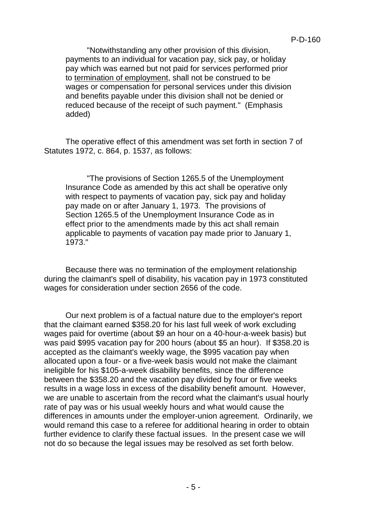"Notwithstanding any other provision of this division, payments to an individual for vacation pay, sick pay, or holiday pay which was earned but not paid for services performed prior to termination of employment, shall not be construed to be wages or compensation for personal services under this division and benefits payable under this division shall not be denied or reduced because of the receipt of such payment." (Emphasis added)

The operative effect of this amendment was set forth in section 7 of Statutes 1972, c. 864, p. 1537, as follows:

"The provisions of Section 1265.5 of the Unemployment Insurance Code as amended by this act shall be operative only with respect to payments of vacation pay, sick pay and holiday pay made on or after January 1, 1973. The provisions of Section 1265.5 of the Unemployment Insurance Code as in effect prior to the amendments made by this act shall remain applicable to payments of vacation pay made prior to January 1, 1973."

Because there was no termination of the employment relationship during the claimant's spell of disability, his vacation pay in 1973 constituted wages for consideration under section 2656 of the code.

Our next problem is of a factual nature due to the employer's report that the claimant earned \$358.20 for his last full week of work excluding wages paid for overtime (about \$9 an hour on a 40-hour-a-week basis) but was paid \$995 vacation pay for 200 hours (about \$5 an hour). If \$358.20 is accepted as the claimant's weekly wage, the \$995 vacation pay when allocated upon a four- or a five-week basis would not make the claimant ineligible for his \$105-a-week disability benefits, since the difference between the \$358.20 and the vacation pay divided by four or five weeks results in a wage loss in excess of the disability benefit amount. However, we are unable to ascertain from the record what the claimant's usual hourly rate of pay was or his usual weekly hours and what would cause the differences in amounts under the employer-union agreement. Ordinarily, we would remand this case to a referee for additional hearing in order to obtain further evidence to clarify these factual issues. In the present case we will not do so because the legal issues may be resolved as set forth below.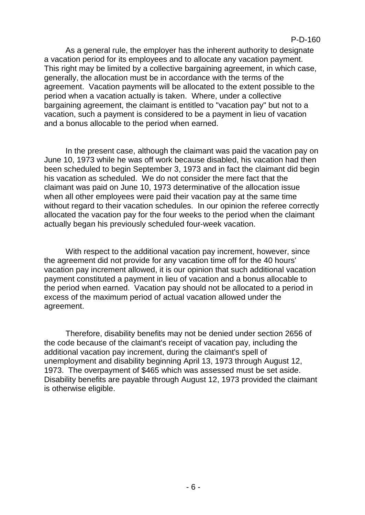As a general rule, the employer has the inherent authority to designate a vacation period for its employees and to allocate any vacation payment. This right may be limited by a collective bargaining agreement, in which case, generally, the allocation must be in accordance with the terms of the agreement. Vacation payments will be allocated to the extent possible to the period when a vacation actually is taken. Where, under a collective bargaining agreement, the claimant is entitled to "vacation pay" but not to a vacation, such a payment is considered to be a payment in lieu of vacation and a bonus allocable to the period when earned.

In the present case, although the claimant was paid the vacation pay on June 10, 1973 while he was off work because disabled, his vacation had then been scheduled to begin September 3, 1973 and in fact the claimant did begin his vacation as scheduled. We do not consider the mere fact that the claimant was paid on June 10, 1973 determinative of the allocation issue when all other employees were paid their vacation pay at the same time without regard to their vacation schedules. In our opinion the referee correctly allocated the vacation pay for the four weeks to the period when the claimant actually began his previously scheduled four-week vacation.

With respect to the additional vacation pay increment, however, since the agreement did not provide for any vacation time off for the 40 hours' vacation pay increment allowed, it is our opinion that such additional vacation payment constituted a payment in lieu of vacation and a bonus allocable to the period when earned. Vacation pay should not be allocated to a period in excess of the maximum period of actual vacation allowed under the agreement.

Therefore, disability benefits may not be denied under section 2656 of the code because of the claimant's receipt of vacation pay, including the additional vacation pay increment, during the claimant's spell of unemployment and disability beginning April 13, 1973 through August 12, 1973. The overpayment of \$465 which was assessed must be set aside. Disability benefits are payable through August 12, 1973 provided the claimant is otherwise eligible.